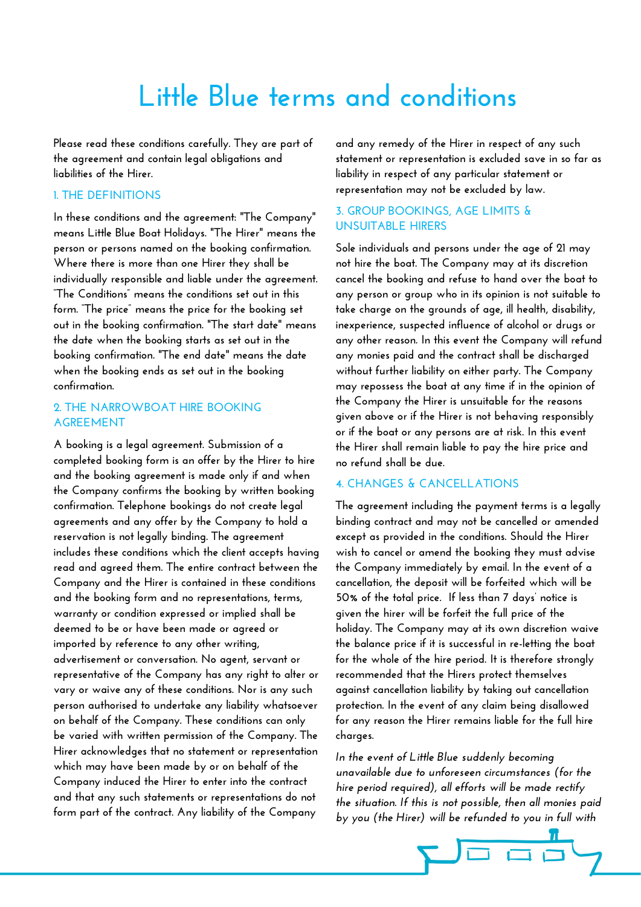# **Little Blue terms and conditions**

**Please read these conditions carefully. They are part of the agreement and contain legal obligations and liabilities of the Hirer.** 

## **1. THE DEFINITIONS**

**In these conditions and the agreement: "The Company" means Little Blue Boat Holidays. "The Hirer" means the person or persons named on the booking confirmation. Where there is more than one Hirer they shall be individually responsible and liable under the agreement. "The Conditions" means the conditions set out in this form. "The price" means the price for the booking set out in the booking confirmation. "The start date" means the date when the booking starts as set out in the booking confirmation. "The end date" means the date when the booking ends as set out in the booking confirmation.** 

# **2. THE NARROWBOAT HIRE BOOKING AGREEMENT**

**A booking is a legal agreement. Submission of a completed booking form is an offer by the Hirer to hire and the booking agreement is made only if and when the Company confirms the booking by written booking confirmation. Telephone bookings do not create legal agreements and any offer by the Company to hold a reservation is not legally binding. The agreement includes these conditions which the client accepts having read and agreed them. The entire contract between the Company and the Hirer is contained in these conditions and the booking form and no representations, terms, warranty or condition expressed or implied shall be deemed to be or have been made or agreed or imported by reference to any other writing, advertisement or conversation. No agent, servant or representative of the Company has any right to alter or vary or waive any of these conditions. Nor is any such person authorised to undertake any liability whatsoever on behalf of the Company. These conditions can only be varied with written permission of the Company. The Hirer acknowledges that no statement or representation which may have been made by or on behalf of the Company induced the Hirer to enter into the contract and that any such statements or representations do not form part of the contract. Any liability of the Company** 

**and any remedy of the Hirer in respect of any such statement or representation is excluded save in so far as liability in respect of any particular statement or representation may not be excluded by law.** 

# **3. GROUP BOOKINGS, AGE LIMITS & UNSUITABLE HIRERS**

**Sole individuals and persons under the age of 21 may not hire the boat. The Company may at its discretion cancel the booking and refuse to hand over the boat to any person or group who in its opinion is not suitable to take charge on the grounds of age, ill health, disability, inexperience, suspected influence of alcohol or drugs or any other reason. In this event the Company will refund any monies paid and the contract shall be discharged without further liability on either party. The Company may repossess the boat at any time if in the opinion of the Company the Hirer is unsuitable for the reasons given above or if the Hirer is not behaving responsibly or if the boat or any persons are at risk. In this event the Hirer shall remain liable to pay the hire price and no refund shall be due.** 

# **4. CHANGES & CANCELLATIONS**

**The agreement including the payment terms is a legally binding contract and may not be cancelled or amended except as provided in the conditions. Should the Hirer wish to cancel or amend the booking they must advise the Company immediately by email. In the event of a cancellation, the deposit will be forfeited which will be 50% of the total price. If less than 7 days' notice is given the hirer will be forfeit the full price of the holiday. The Company may at its own discretion waive the balance price if it is successful in re-letting the boat for the whole of the hire period. It is therefore strongly recommended that the Hirers protect themselves against cancellation liability by taking out cancellation protection. In the event of any claim being disallowed for any reason the Hirer remains liable for the full hire charges.** 

*In the event of Little Blue suddenly becoming unavailable due to unforeseen circumstances (for the hire period required), all efforts will be made rectify the situation. If this is not possible, then all monies paid by you (the Hirer) will be refunded to you in full with* 

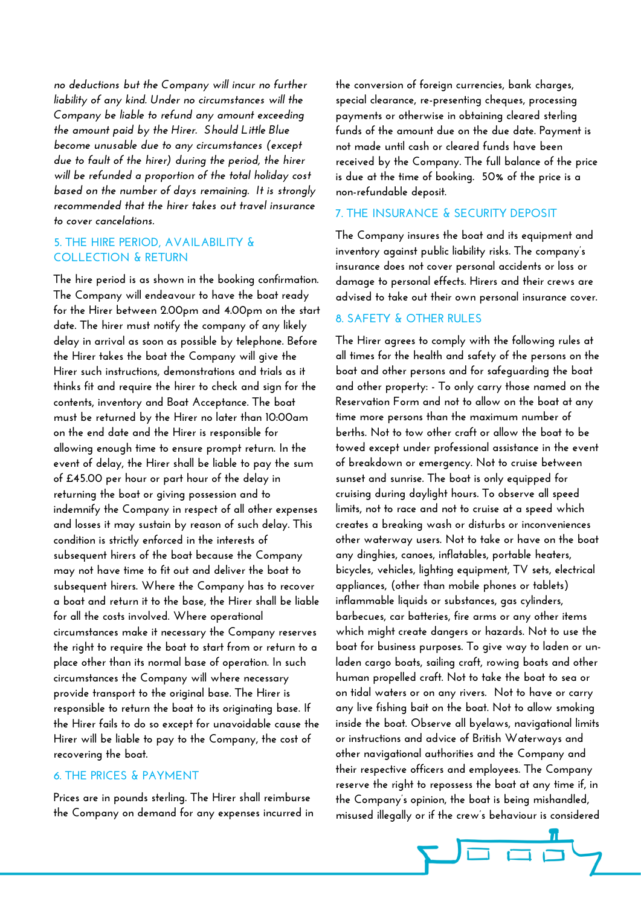*no deductions but the Company will incur no further liability of any kind. Under no circumstances will the Company be liable to refund any amount exceeding the amount paid by the Hirer. Should Little Blue become unusable due to any circumstances (except due to fault of the hirer) during the period, the hirer will be refunded a proportion of the total holiday cost based on the number of days remaining. It is strongly recommended that the hirer takes out travel insurance to cover cancelations.*

# **5. THE HIRE PERIOD, AVAILABILITY & COLLECTION & RETURN**

**The hire period is as shown in the booking confirmation. The Company will endeavour to have the boat ready for the Hirer between 2.00pm and 4.00pm on the start date. The hirer must notify the company of any likely delay in arrival as soon as possible by telephone. Before the Hirer takes the boat the Company will give the Hirer such instructions, demonstrations and trials as it thinks fit and require the hirer to check and sign for the contents, inventory and Boat Acceptance. The boat must be returned by the Hirer no later than 10:00am on the end date and the Hirer is responsible for allowing enough time to ensure prompt return. In the event of delay, the Hirer shall be liable to pay the sum of £45.00 per hour or part hour of the delay in returning the boat or giving possession and to indemnify the Company in respect of all other expenses and losses it may sustain by reason of such delay. This condition is strictly enforced in the interests of subsequent hirers of the boat because the Company may not have time to fit out and deliver the boat to subsequent hirers. Where the Company has to recover a boat and return it to the base, the Hirer shall be liable for all the costs involved. Where operational circumstances make it necessary the Company reserves the right to require the boat to start from or return to a place other than its normal base of operation. In such circumstances the Company will where necessary provide transport to the original base. The Hirer is responsible to return the boat to its originating base. If the Hirer fails to do so except for unavoidable cause the Hirer will be liable to pay to the Company, the cost of recovering the boat.** 

## **6. THE PRICES & PAYMENT**

**Prices are in pounds sterling. The Hirer shall reimburse the Company on demand for any expenses incurred in**  **the conversion of foreign currencies, bank charges, special clearance, re-presenting cheques, processing payments or otherwise in obtaining cleared sterling funds of the amount due on the due date. Payment is not made until cash or cleared funds have been received by the Company. The full balance of the price is due at the time of booking. 50% of the price is a non-refundable deposit.** 

# **7. THE INSURANCE & SECURITY DEPOSIT**

**The Company insures the boat and its equipment and inventory against public liability risks. The company's insurance does not cover personal accidents or loss or damage to personal effects. Hirers and their crews are advised to take out their own personal insurance cover.** 

# **8. SAFETY & OTHER RULES**

**The Hirer agrees to comply with the following rules at all times for the health and safety of the persons on the boat and other persons and for safeguarding the boat and other property: - To only carry those named on the Reservation Form and not to allow on the boat at any time more persons than the maximum number of berths. Not to tow other craft or allow the boat to be towed except under professional assistance in the event of breakdown or emergency. Not to cruise between sunset and sunrise. The boat is only equipped for cruising during daylight hours. To observe all speed limits, not to race and not to cruise at a speed which creates a breaking wash or disturbs or inconveniences other waterway users. Not to take or have on the boat any dinghies, canoes, inflatables, portable heaters, bicycles, vehicles, lighting equipment, TV sets, electrical appliances, (other than mobile phones or tablets) inflammable liquids or substances, gas cylinders, barbecues, car batteries, fire arms or any other items which might create dangers or hazards. Not to use the boat for business purposes. To give way to laden or unladen cargo boats, sailing craft, rowing boats and other human propelled craft. Not to take the boat to sea or on tidal waters or on any rivers. Not to have or carry any live fishing bait on the boat. Not to allow smoking inside the boat. Observe all byelaws, navigational limits or instructions and advice of British Waterways and other navigational authorities and the Company and their respective officers and employees. The Company reserve the right to repossess the boat at any time if, in the Company's opinion, the boat is being mishandled, misused illegally or if the crew's behaviour is considered** 

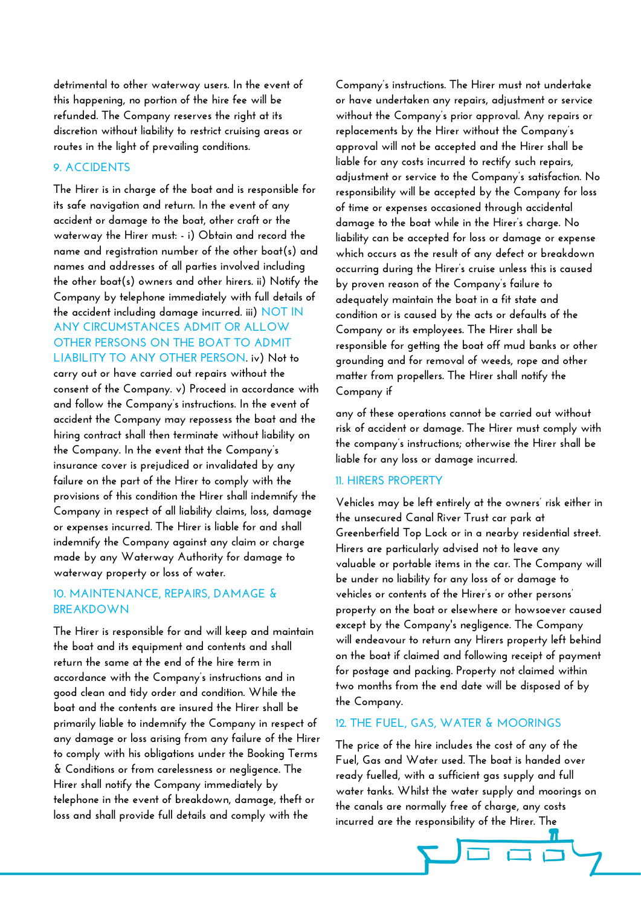**detrimental to other waterway users. In the event of this happening, no portion of the hire fee will be refunded. The Company reserves the right at its discretion without liability to restrict cruising areas or routes in the light of prevailing conditions.** 

# **9. ACCIDENTS**

**The Hirer is in charge of the boat and is responsible for its safe navigation and return. In the event of any accident or damage to the boat, other craft or the waterway the Hirer must: - i) Obtain and record the name and registration number of the other boat(s) and names and addresses of all parties involved including the other boat(s) owners and other hirers. ii) Notify the Company by telephone immediately with full details of the accident including damage incurred. iii) NOT IN ANY CIRCUMSTANCES ADMIT OR ALLOW OTHER PERSONS ON THE BOAT TO ADMIT LIABILITY TO ANY OTHER PERSON. iv) Not to carry out or have carried out repairs without the consent of the Company. v) Proceed in accordance with and follow the Company's instructions. In the event of accident the Company may repossess the boat and the hiring contract shall then terminate without liability on the Company. In the event that the Company's insurance cover is prejudiced or invalidated by any failure on the part of the Hirer to comply with the** 

**provisions of this condition the Hirer shall indemnify the Company in respect of all liability claims, loss, damage or expenses incurred. The Hirer is liable for and shall indemnify the Company against any claim or charge made by any Waterway Authority for damage to waterway property or loss of water.** 

# **10. MAINTENANCE, REPAIRS, DAMAGE & BREAKDOWN**

**The Hirer is responsible for and will keep and maintain the boat and its equipment and contents and shall return the same at the end of the hire term in accordance with the Company's instructions and in good clean and tidy order and condition. While the boat and the contents are insured the Hirer shall be primarily liable to indemnify the Company in respect of any damage or loss arising from any failure of the Hirer to comply with his obligations under the Booking Terms & Conditions or from carelessness or negligence. The Hirer shall notify the Company immediately by telephone in the event of breakdown, damage, theft or loss and shall provide full details and comply with the** 

**Company's instructions. The Hirer must not undertake or have undertaken any repairs, adjustment or service without the Company's prior approval. Any repairs or replacements by the Hirer without the Company's approval will not be accepted and the Hirer shall be liable for any costs incurred to rectify such repairs, adjustment or service to the Company's satisfaction. No responsibility will be accepted by the Company for loss of time or expenses occasioned through accidental damage to the boat while in the Hirer's charge. No liability can be accepted for loss or damage or expense which occurs as the result of any defect or breakdown occurring during the Hirer's cruise unless this is caused by proven reason of the Company's failure to adequately maintain the boat in a fit state and condition or is caused by the acts or defaults of the Company or its employees. The Hirer shall be responsible for getting the boat off mud banks or other grounding and for removal of weeds, rope and other matter from propellers. The Hirer shall notify the Company if** 

**any of these operations cannot be carried out without risk of accident or damage. The Hirer must comply with the company's instructions; otherwise the Hirer shall be liable for any loss or damage incurred.** 

#### **11. HIRERS PROPERTY**

**Vehicles may be left entirely at the owners' risk either in the unsecured Canal River Trust car park at Greenberfield Top Lock or in a nearby residential street. Hirers are particularly advised not to leave any valuable or portable items in the car. The Company will be under no liability for any loss of or damage to vehicles or contents of the Hirer's or other persons' property on the boat or elsewhere or howsoever caused except by the Company's negligence. The Company will endeavour to return any Hirers property left behind on the boat if claimed and following receipt of payment for postage and packing. Property not claimed within two months from the end date will be disposed of by the Company.** 

# **12. THE FUEL, GAS, WATER & MOORINGS**

**The price of the hire includes the cost of any of the Fuel, Gas and Water used. The boat is handed over ready fuelled, with a sufficient gas supply and full water tanks. Whilst the water supply and moorings on the canals are normally free of charge, any costs incurred are the responsibility of the Hirer. The** 

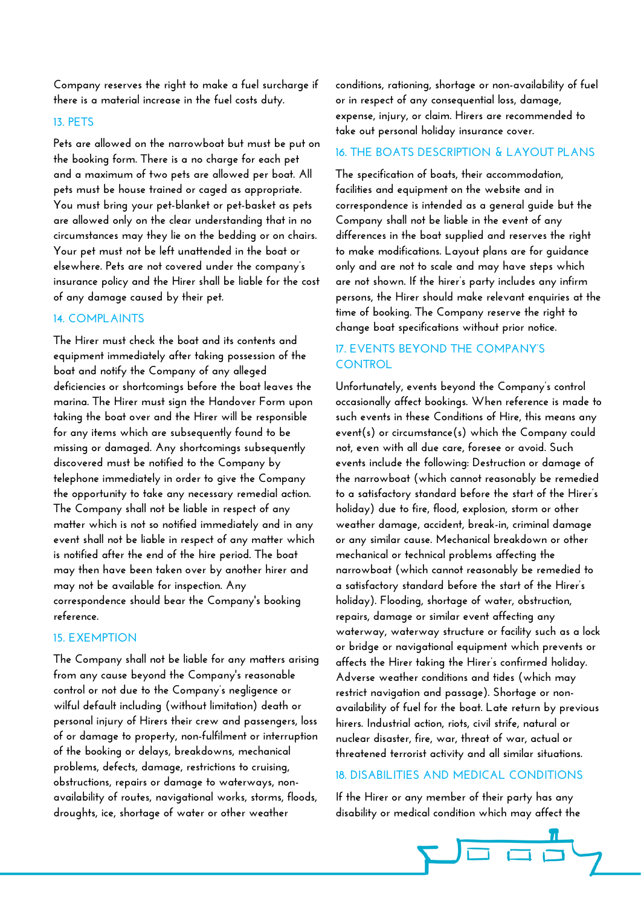**Company reserves the right to make a fuel surcharge if there is a material increase in the fuel costs duty.** 

#### **13. PETS**

**Pets are allowed on the narrowboat but must be put on the booking form. There is a no charge for each pet and a maximum of two pets are allowed per boat. All pets must be house trained or caged as appropriate. You must bring your pet-blanket or pet-basket as pets are allowed only on the clear understanding that in no circumstances may they lie on the bedding or on chairs. Your pet must not be left unattended in the boat or elsewhere. Pets are not covered under the company's insurance policy and the Hirer shall be liable for the cost of any damage caused by their pet.** 

# **14. COMPLAINTS**

**The Hirer must check the boat and its contents and equipment immediately after taking possession of the boat and notify the Company of any alleged deficiencies or shortcomings before the boat leaves the marina. The Hirer must sign the Handover Form upon taking the boat over and the Hirer will be responsible for any items which are subsequently found to be missing or damaged. Any shortcomings subsequently discovered must be notified to the Company by telephone immediately in order to give the Company the opportunity to take any necessary remedial action. The Company shall not be liable in respect of any matter which is not so notified immediately and in any event shall not be liable in respect of any matter which is notified after the end of the hire period. The boat may then have been taken over by another hirer and may not be available for inspection. Any correspondence should bear the Company's booking reference.** 

#### **15. EXEMPTION**

**The Company shall not be liable for any matters arising from any cause beyond the Company's reasonable control or not due to the Company's negligence or wilful default including (without limitation) death or personal injury of Hirers their crew and passengers, loss of or damage to property, non-fulfilment or interruption of the booking or delays, breakdowns, mechanical problems, defects, damage, restrictions to cruising, obstructions, repairs or damage to waterways, nonavailability of routes, navigational works, storms, floods, droughts, ice, shortage of water or other weather** 

**conditions, rationing, shortage or non-availability of fuel or in respect of any consequential loss, damage, expense, injury, or claim. Hirers are recommended to take out personal holiday insurance cover.** 

# **16. THE BOATS DESCRIPTION & LAYOUT PLANS**

**The specification of boats, their accommodation, facilities and equipment on the website and in correspondence is intended as a general guide but the Company shall not be liable in the event of any differences in the boat supplied and reserves the right to make modifications. Layout plans are for guidance only and are not to scale and may have steps which are not shown. If the hirer's party includes any infirm persons, the Hirer should make relevant enquiries at the time of booking. The Company reserve the right to change boat specifications without prior notice.** 

# **17. EVENTS BEYOND THE COMPANY'S CONTROL**

**Unfortunately, events beyond the Company's control occasionally affect bookings. When reference is made to such events in these Conditions of Hire, this means any event(s) or circumstance(s) which the Company could not, even with all due care, foresee or avoid. Such events include the following: Destruction or damage of the narrowboat (which cannot reasonably be remedied to a satisfactory standard before the start of the Hirer's holiday) due to fire, flood, explosion, storm or other weather damage, accident, break-in, criminal damage or any similar cause. Mechanical breakdown or other mechanical or technical problems affecting the narrowboat (which cannot reasonably be remedied to a satisfactory standard before the start of the Hirer's holiday). Flooding, shortage of water, obstruction, repairs, damage or similar event affecting any waterway, waterway structure or facility such as a lock or bridge or navigational equipment which prevents or affects the Hirer taking the Hirer's confirmed holiday. Adverse weather conditions and tides (which may restrict navigation and passage). Shortage or nonavailability of fuel for the boat. Late return by previous hirers. Industrial action, riots, civil strife, natural or nuclear disaster, fire, war, threat of war, actual or threatened terrorist activity and all similar situations.** 

# **18. DISABILITIES AND MEDICAL CONDITIONS**

**If the Hirer or any member of their party has any disability or medical condition which may affect the**